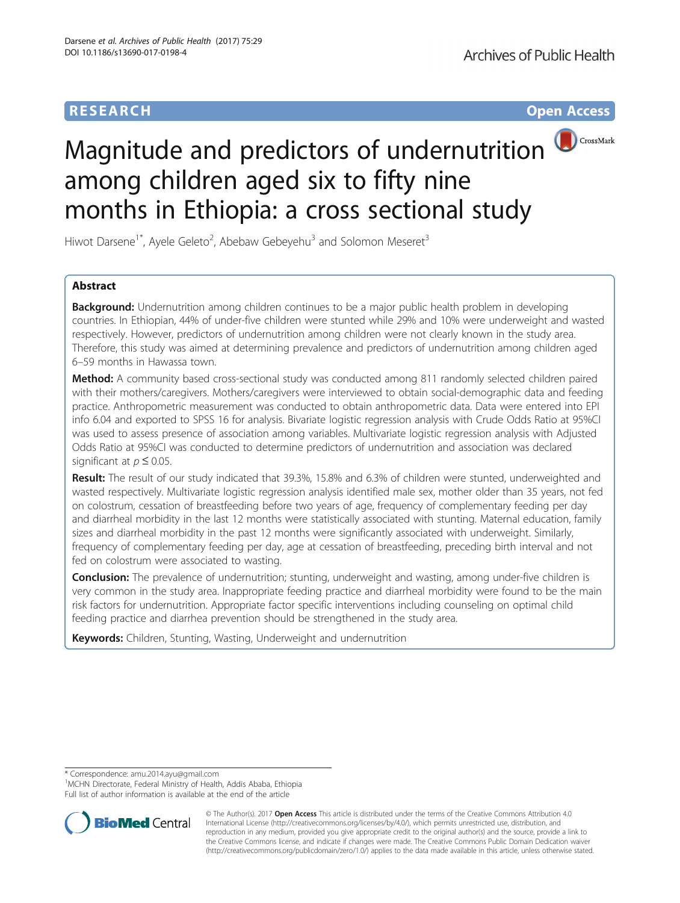# **RESEARCH CHE Open Access**



# Magnitude and predictors of undernutrition **OCCROSSMark** among children aged six to fifty nine months in Ethiopia: a cross sectional study

Hiwot Darsene<sup>1\*</sup>, Ayele Geleto<sup>2</sup>, Abebaw Gebeyehu<sup>3</sup> and Solomon Meseret<sup>3</sup>

# Abstract

**Background:** Undernutrition among children continues to be a major public health problem in developing countries. In Ethiopian, 44% of under-five children were stunted while 29% and 10% were underweight and wasted respectively. However, predictors of undernutrition among children were not clearly known in the study area. Therefore, this study was aimed at determining prevalence and predictors of undernutrition among children aged 6–59 months in Hawassa town.

Method: A community based cross-sectional study was conducted among 811 randomly selected children paired with their mothers/caregivers. Mothers/caregivers were interviewed to obtain social-demographic data and feeding practice. Anthropometric measurement was conducted to obtain anthropometric data. Data were entered into EPI info 6.04 and exported to SPSS 16 for analysis. Bivariate logistic regression analysis with Crude Odds Ratio at 95%CI was used to assess presence of association among variables. Multivariate logistic regression analysis with Adjusted Odds Ratio at 95%CI was conducted to determine predictors of undernutrition and association was declared significant at  $p \leq 0.05$ .

Result: The result of our study indicated that 39.3%, 15.8% and 6.3% of children were stunted, underweighted and wasted respectively. Multivariate logistic regression analysis identified male sex, mother older than 35 years, not fed on colostrum, cessation of breastfeeding before two years of age, frequency of complementary feeding per day and diarrheal morbidity in the last 12 months were statistically associated with stunting. Maternal education, family sizes and diarrheal morbidity in the past 12 months were significantly associated with underweight. Similarly, frequency of complementary feeding per day, age at cessation of breastfeeding, preceding birth interval and not fed on colostrum were associated to wasting.

**Conclusion:** The prevalence of undernutrition; stunting, underweight and wasting, among under-five children is very common in the study area. Inappropriate feeding practice and diarrheal morbidity were found to be the main risk factors for undernutrition. Appropriate factor specific interventions including counseling on optimal child feeding practice and diarrhea prevention should be strengthened in the study area.

Keywords: Children, Stunting, Wasting, Underweight and undernutrition

<sup>1</sup> MCHN Directorate, Federal Ministry of Health, Addis Ababa, Ethiopia Full list of author information is available at the end of the article



© The Author(s). 2017 **Open Access** This article is distributed under the terms of the Creative Commons Attribution 4.0 International License [\(http://creativecommons.org/licenses/by/4.0/](http://creativecommons.org/licenses/by/4.0/)), which permits unrestricted use, distribution, and reproduction in any medium, provided you give appropriate credit to the original author(s) and the source, provide a link to the Creative Commons license, and indicate if changes were made. The Creative Commons Public Domain Dedication waiver [\(http://creativecommons.org/publicdomain/zero/1.0/](http://creativecommons.org/publicdomain/zero/1.0/)) applies to the data made available in this article, unless otherwise stated.

<sup>\*</sup> Correspondence: [amu.2014.ayu@gmail.com](mailto:amu.2014.ayu@gmail.com) <sup>1</sup>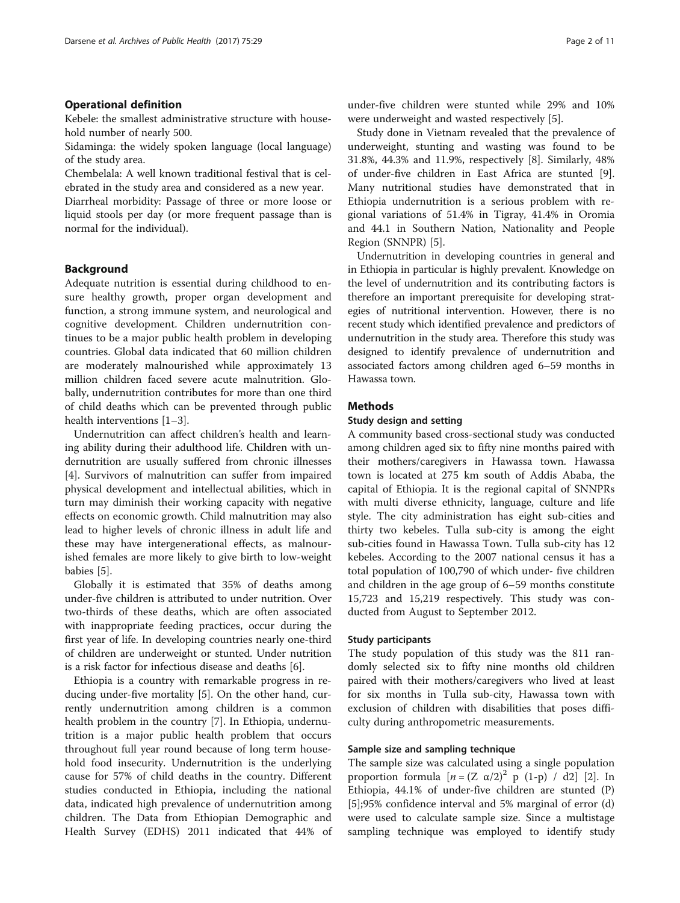# Operational definition

Kebele: the smallest administrative structure with household number of nearly 500.

Sidaminga: the widely spoken language (local language) of the study area.

Chembelala: A well known traditional festival that is celebrated in the study area and considered as a new year.

Diarrheal morbidity: Passage of three or more loose or liquid stools per day (or more frequent passage than is normal for the individual).

# Background

Adequate nutrition is essential during childhood to ensure healthy growth, proper organ development and function, a strong immune system, and neurological and cognitive development. Children undernutrition continues to be a major public health problem in developing countries. Global data indicated that 60 million children are moderately malnourished while approximately 13 million children faced severe acute malnutrition. Globally, undernutrition contributes for more than one third of child deaths which can be prevented through public health interventions [[1](#page-10-0)–[3\]](#page-10-0).

Undernutrition can affect children's health and learning ability during their adulthood life. Children with undernutrition are usually suffered from chronic illnesses [[4\]](#page-10-0). Survivors of malnutrition can suffer from impaired physical development and intellectual abilities, which in turn may diminish their working capacity with negative effects on economic growth. Child malnutrition may also lead to higher levels of chronic illness in adult life and these may have intergenerational effects, as malnourished females are more likely to give birth to low-weight babies [\[5](#page-10-0)].

Globally it is estimated that 35% of deaths among under-five children is attributed to under nutrition. Over two-thirds of these deaths, which are often associated with inappropriate feeding practices, occur during the first year of life. In developing countries nearly one-third of children are underweight or stunted. Under nutrition is a risk factor for infectious disease and deaths [[6\]](#page-10-0).

Ethiopia is a country with remarkable progress in reducing under-five mortality [[5](#page-10-0)]. On the other hand, currently undernutrition among children is a common health problem in the country [[7](#page-10-0)]. In Ethiopia, undernutrition is a major public health problem that occurs throughout full year round because of long term household food insecurity. Undernutrition is the underlying cause for 57% of child deaths in the country. Different studies conducted in Ethiopia, including the national data, indicated high prevalence of undernutrition among children. The Data from Ethiopian Demographic and Health Survey (EDHS) 2011 indicated that 44% of

under-five children were stunted while 29% and 10% were underweight and wasted respectively [\[5](#page-10-0)].

Study done in Vietnam revealed that the prevalence of underweight, stunting and wasting was found to be 31.8%, 44.3% and 11.9%, respectively [[8\]](#page-10-0). Similarly, 48% of under-five children in East Africa are stunted [\[9](#page-10-0)]. Many nutritional studies have demonstrated that in Ethiopia undernutrition is a serious problem with regional variations of 51.4% in Tigray, 41.4% in Oromia and 44.1 in Southern Nation, Nationality and People Region (SNNPR) [[5\]](#page-10-0).

Undernutrition in developing countries in general and in Ethiopia in particular is highly prevalent. Knowledge on the level of undernutrition and its contributing factors is therefore an important prerequisite for developing strategies of nutritional intervention. However, there is no recent study which identified prevalence and predictors of undernutrition in the study area. Therefore this study was designed to identify prevalence of undernutrition and associated factors among children aged 6–59 months in Hawassa town.

# Methods

#### Study design and setting

A community based cross-sectional study was conducted among children aged six to fifty nine months paired with their mothers/caregivers in Hawassa town. Hawassa town is located at 275 km south of Addis Ababa, the capital of Ethiopia. It is the regional capital of SNNPRs with multi diverse ethnicity, language, culture and life style. The city administration has eight sub-cities and thirty two kebeles. Tulla sub-city is among the eight sub-cities found in Hawassa Town. Tulla sub-city has 12 kebeles. According to the 2007 national census it has a total population of 100,790 of which under- five children and children in the age group of 6–59 months constitute 15,723 and 15,219 respectively. This study was conducted from August to September 2012.

#### Study participants

The study population of this study was the 811 randomly selected six to fifty nine months old children paired with their mothers/caregivers who lived at least for six months in Tulla sub-city, Hawassa town with exclusion of children with disabilities that poses difficulty during anthropometric measurements.

# Sample size and sampling technique

The sample size was calculated using a single population proportion formula  $[n = (Z \alpha/2)^2 \text{ p } (1-\text{p}) / d2]$  $[n = (Z \alpha/2)^2 \text{ p } (1-\text{p}) / d2]$  [2]. In Ethiopia, 44.1% of under-five children are stunted (P) [[5\]](#page-10-0);95% confidence interval and 5% marginal of error (d) were used to calculate sample size. Since a multistage sampling technique was employed to identify study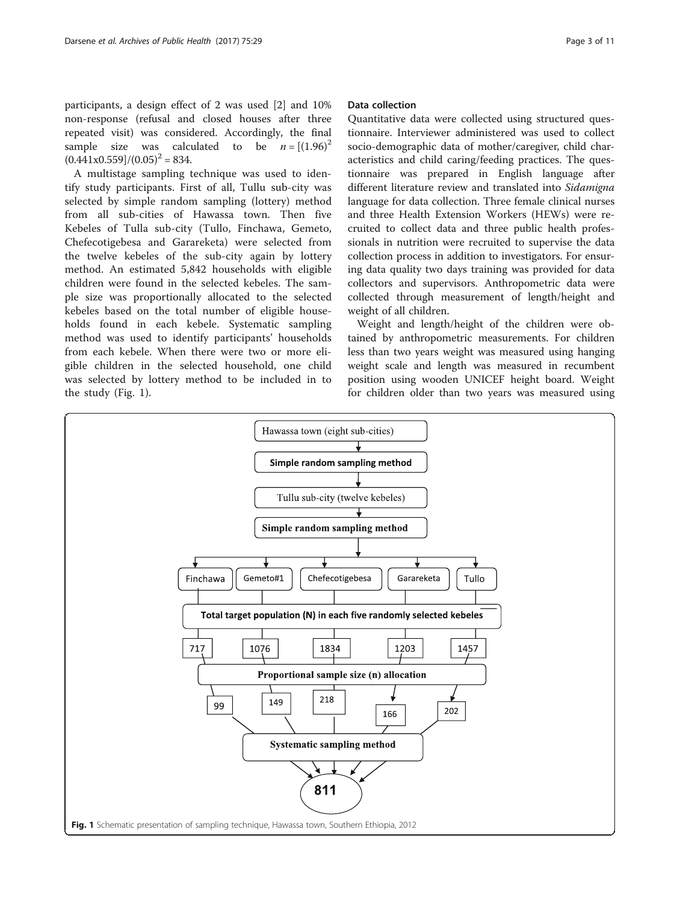participants, a design effect of 2 was used [[2](#page-10-0)] and 10% non-response (refusal and closed houses after three repeated visit) was considered. Accordingly, the final sample size was calculated to be  $n = [(1.96)^2]$  $(0.441x0.559)/(0.05)^{2} = 834.$ 

A multistage sampling technique was used to identify study participants. First of all, Tullu sub-city was selected by simple random sampling (lottery) method from all sub-cities of Hawassa town. Then five Kebeles of Tulla sub-city (Tullo, Finchawa, Gemeto, Chefecotigebesa and Garareketa) were selected from the twelve kebeles of the sub-city again by lottery method. An estimated 5,842 households with eligible children were found in the selected kebeles. The sample size was proportionally allocated to the selected kebeles based on the total number of eligible households found in each kebele. Systematic sampling method was used to identify participants' households from each kebele. When there were two or more eligible children in the selected household, one child was selected by lottery method to be included in to the study (Fig. 1).

# Data collection

Quantitative data were collected using structured questionnaire. Interviewer administered was used to collect socio-demographic data of mother/caregiver, child characteristics and child caring/feeding practices. The questionnaire was prepared in English language after different literature review and translated into Sidamigna language for data collection. Three female clinical nurses and three Health Extension Workers (HEWs) were recruited to collect data and three public health professionals in nutrition were recruited to supervise the data collection process in addition to investigators. For ensuring data quality two days training was provided for data collectors and supervisors. Anthropometric data were collected through measurement of length/height and weight of all children.

Weight and length/height of the children were obtained by anthropometric measurements. For children less than two years weight was measured using hanging weight scale and length was measured in recumbent position using wooden UNICEF height board. Weight for children older than two years was measured using

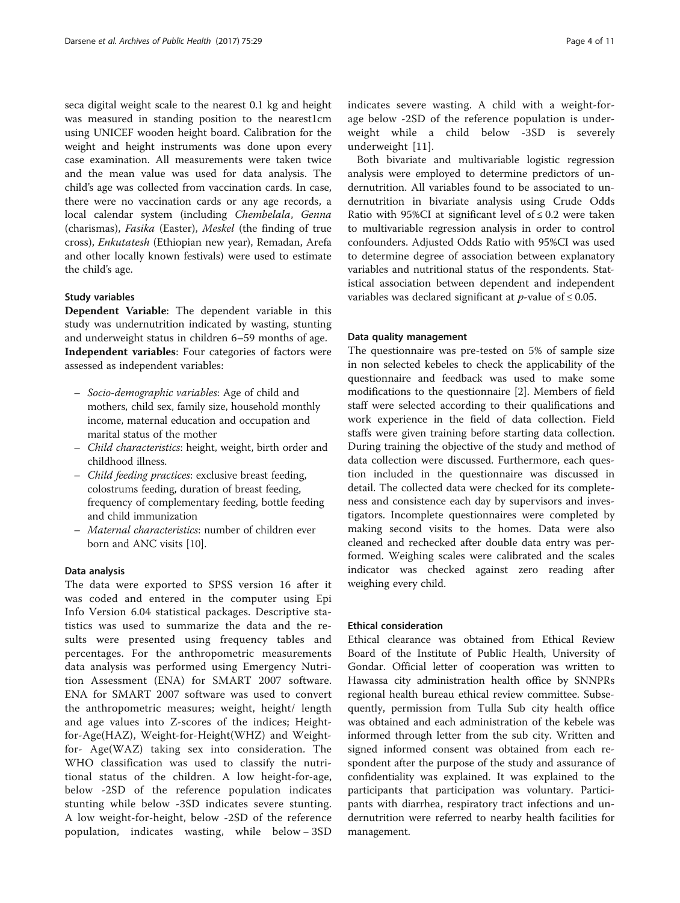seca digital weight scale to the nearest 0.1 kg and height was measured in standing position to the nearest1cm using UNICEF wooden height board. Calibration for the weight and height instruments was done upon every case examination. All measurements were taken twice and the mean value was used for data analysis. The child's age was collected from vaccination cards. In case, there were no vaccination cards or any age records, a local calendar system (including Chembelala, Genna (charismas), Fasika (Easter), Meskel (the finding of true cross), Enkutatesh (Ethiopian new year), Remadan, Arefa and other locally known festivals) were used to estimate the child's age.

#### Study variables

Dependent Variable: The dependent variable in this study was undernutrition indicated by wasting, stunting and underweight status in children 6–59 months of age. Independent variables: Four categories of factors were assessed as independent variables:

- Socio-demographic variables: Age of child and mothers, child sex, family size, household monthly income, maternal education and occupation and marital status of the mother
- Child characteristics: height, weight, birth order and childhood illness.
- Child feeding practices: exclusive breast feeding, colostrums feeding, duration of breast feeding, frequency of complementary feeding, bottle feeding and child immunization
- Maternal characteristics: number of children ever born and ANC visits [\[10\]](#page-10-0).

#### Data analysis

The data were exported to SPSS version 16 after it was coded and entered in the computer using Epi Info Version 6.04 statistical packages. Descriptive statistics was used to summarize the data and the results were presented using frequency tables and percentages. For the anthropometric measurements data analysis was performed using Emergency Nutrition Assessment (ENA) for SMART 2007 software. ENA for SMART 2007 software was used to convert the anthropometric measures; weight, height/ length and age values into Z-scores of the indices; Heightfor-Age(HAZ), Weight-for-Height(WHZ) and Weightfor- Age(WAZ) taking sex into consideration. The WHO classification was used to classify the nutritional status of the children. A low height-for-age, below -2SD of the reference population indicates stunting while below -3SD indicates severe stunting. A low weight-for-height, below -2SD of the reference population, indicates wasting, while below − 3SD

indicates severe wasting. A child with a weight-forage below -2SD of the reference population is underweight while a child below -3SD is severely underweight [[11\]](#page-10-0).

Both bivariate and multivariable logistic regression analysis were employed to determine predictors of undernutrition. All variables found to be associated to undernutrition in bivariate analysis using Crude Odds Ratio with 95%CI at significant level of  $\leq 0.2$  were taken to multivariable regression analysis in order to control confounders. Adjusted Odds Ratio with 95%CI was used to determine degree of association between explanatory variables and nutritional status of the respondents. Statistical association between dependent and independent variables was declared significant at  $p$ -value of  $\leq 0.05$ .

#### Data quality management

The questionnaire was pre-tested on 5% of sample size in non selected kebeles to check the applicability of the questionnaire and feedback was used to make some modifications to the questionnaire [[2\]](#page-10-0). Members of field staff were selected according to their qualifications and work experience in the field of data collection. Field staffs were given training before starting data collection. During training the objective of the study and method of data collection were discussed. Furthermore, each question included in the questionnaire was discussed in detail. The collected data were checked for its completeness and consistence each day by supervisors and investigators. Incomplete questionnaires were completed by making second visits to the homes. Data were also cleaned and rechecked after double data entry was performed. Weighing scales were calibrated and the scales indicator was checked against zero reading after weighing every child.

#### Ethical consideration

Ethical clearance was obtained from Ethical Review Board of the Institute of Public Health, University of Gondar. Official letter of cooperation was written to Hawassa city administration health office by SNNPRs regional health bureau ethical review committee. Subsequently, permission from Tulla Sub city health office was obtained and each administration of the kebele was informed through letter from the sub city. Written and signed informed consent was obtained from each respondent after the purpose of the study and assurance of confidentiality was explained. It was explained to the participants that participation was voluntary. Participants with diarrhea, respiratory tract infections and undernutrition were referred to nearby health facilities for management.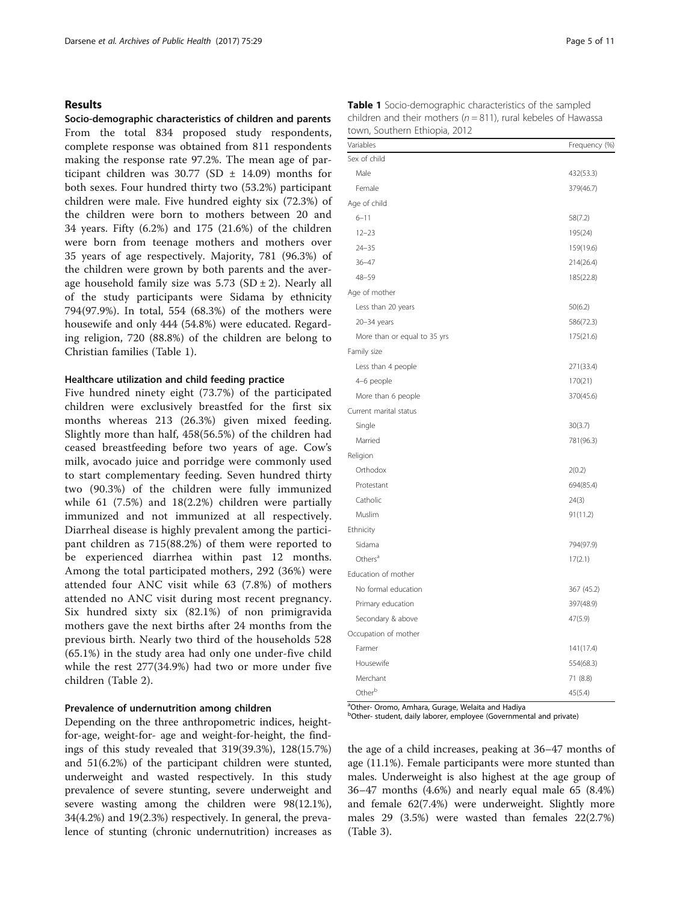#### Results

Socio-demographic characteristics of children and parents From the total 834 proposed study respondents, complete response was obtained from 811 respondents making the response rate 97.2%. The mean age of participant children was 30.77 (SD  $\pm$  14.09) months for both sexes. Four hundred thirty two (53.2%) participant children were male. Five hundred eighty six (72.3%) of the children were born to mothers between 20 and 34 years. Fifty (6.2%) and 175 (21.6%) of the children were born from teenage mothers and mothers over 35 years of age respectively. Majority, 781 (96.3%) of the children were grown by both parents and the average household family size was  $5.73$  (SD  $\pm$  2). Nearly all of the study participants were Sidama by ethnicity 794(97.9%). In total, 554 (68.3%) of the mothers were housewife and only 444 (54.8%) were educated. Regarding religion, 720 (88.8%) of the children are belong to Christian families (Table 1).

# Healthcare utilization and child feeding practice

Five hundred ninety eight (73.7%) of the participated children were exclusively breastfed for the first six months whereas 213 (26.3%) given mixed feeding. Slightly more than half, 458(56.5%) of the children had ceased breastfeeding before two years of age. Cow's milk, avocado juice and porridge were commonly used to start complementary feeding. Seven hundred thirty two (90.3%) of the children were fully immunized while 61 (7.5%) and 18(2.2%) children were partially immunized and not immunized at all respectively. Diarrheal disease is highly prevalent among the participant children as 715(88.2%) of them were reported to be experienced diarrhea within past 12 months. Among the total participated mothers, 292 (36%) were attended four ANC visit while 63 (7.8%) of mothers attended no ANC visit during most recent pregnancy. Six hundred sixty six (82.1%) of non primigravida mothers gave the next births after 24 months from the previous birth. Nearly two third of the households 528 (65.1%) in the study area had only one under-five child while the rest 277(34.9%) had two or more under five children (Table [2\)](#page-5-0).

# Prevalence of undernutrition among children

Depending on the three anthropometric indices, heightfor-age, weight-for- age and weight-for-height, the findings of this study revealed that 319(39.3%), 128(15.7%) and 51(6.2%) of the participant children were stunted, underweight and wasted respectively. In this study prevalence of severe stunting, severe underweight and severe wasting among the children were 98(12.1%), 34(4.2%) and 19(2.3%) respectively. In general, the prevalence of stunting (chronic undernutrition) increases as

Table 1 Socio-demographic characteristics of the sampled children and their mothers ( $n = 811$ ), rural kebeles of Hawassa town, Southern Ethiopia, 2012

| Variables                    | Frequency (%) |
|------------------------------|---------------|
| Sex of child                 |               |
| Male                         | 432(53.3)     |
| Female                       | 379(46.7)     |
| Age of child                 |               |
| $6 - 11$                     | 58(7.2)       |
| $12 - 23$                    | 195(24)       |
| $24 - 35$                    | 159(19.6)     |
| $36 - 47$                    | 214(26.4)     |
| $48 - 59$                    | 185(22.8)     |
| Age of mother                |               |
| Less than 20 years           | 50(6.2)       |
| 20-34 years                  | 586(72.3)     |
| More than or equal to 35 yrs | 175(21.6)     |
| Family size                  |               |
| Less than 4 people           | 271(33.4)     |
| 4-6 people                   | 170(21)       |
| More than 6 people           | 370(45.6)     |
| Current marital status       |               |
| Single                       | 30(3.7)       |
| Married                      | 781(96.3)     |
| Religion                     |               |
| Orthodox                     | 2(0.2)        |
| Protestant                   | 694(85.4)     |
| Catholic                     | 24(3)         |
| Muslim                       | 91(11.2)      |
| Ethnicity                    |               |
| Sidama                       | 794(97.9)     |
| Others <sup>a</sup>          | 17(2.1)       |
| Education of mother          |               |
| No formal education          | 367 (45.2)    |
| Primary education            | 397(48.9)     |
| Secondary & above            | 47(5.9)       |
| Occupation of mother         |               |
| Farmer                       | 141(17.4)     |
| Housewife                    | 554(68.3)     |
| Merchant                     | 71 (8.8)      |
| Other <sup>b</sup>           | 45(5.4)       |

aOther- Oromo, Amhara, Gurage, Welaita and Hadiya

b Other- student, daily laborer, employee (Governmental and private)

the age of a child increases, peaking at 36–47 months of age (11.1%). Female participants were more stunted than males. Underweight is also highest at the age group of 36–47 months (4.6%) and nearly equal male 65 (8.4%) and female 62(7.4%) were underweight. Slightly more males 29 (3.5%) were wasted than females 22(2.7%) (Table [3\)](#page-6-0).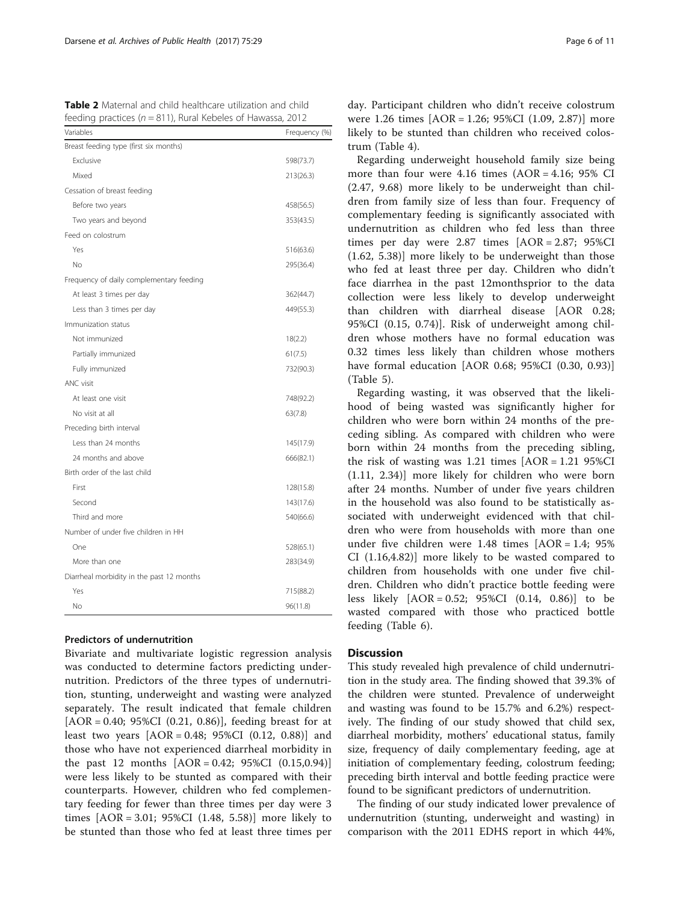<span id="page-5-0"></span>Table 2 Maternal and child healthcare utilization and child feeding practices ( $n = 811$ ), Rural Kebeles of Hawassa, 2012

| Variables                                 | Frequency (%) |
|-------------------------------------------|---------------|
| Breast feeding type (first six months)    |               |
| Exclusive                                 | 598(73.7)     |
| Mixed                                     | 213(26.3)     |
| Cessation of breast feeding               |               |
| Before two years                          | 458(56.5)     |
| Two years and beyond                      | 353(43.5)     |
| Feed on colostrum                         |               |
| Yes                                       | 516(63.6)     |
| No                                        | 295(36.4)     |
| Frequency of daily complementary feeding  |               |
| At least 3 times per day                  | 362(44.7)     |
| Less than 3 times per day                 | 449(55.3)     |
| Immunization status                       |               |
| Not immunized                             | 18(2.2)       |
| Partially immunized                       | 61(7.5)       |
| Fully immunized                           | 732(90.3)     |
| ANC visit                                 |               |
| At least one visit                        | 748(92.2)     |
| No visit at all                           | 63(7.8)       |
| Preceding birth interval                  |               |
| Less than 24 months                       | 145(17.9)     |
| 24 months and above                       | 666(82.1)     |
| Birth order of the last child             |               |
| First                                     | 128(15.8)     |
| Second                                    | 143(17.6)     |
| Third and more                            | 540(66.6)     |
| Number of under five children in HH       |               |
| One                                       | 528(65.1)     |
| More than one                             | 283(34.9)     |
| Diarrheal morbidity in the past 12 months |               |
| Yes                                       | 715(88.2)     |
| No                                        | 96(11.8)      |

# Predictors of undernutrition

Bivariate and multivariate logistic regression analysis was conducted to determine factors predicting undernutrition. Predictors of the three types of undernutrition, stunting, underweight and wasting were analyzed separately. The result indicated that female children  $[AOR = 0.40; 95\% CI (0.21, 0.86)]$ , feeding breast for at least two years  $[AOR = 0.48; 95\% CI (0.12, 0.88)]$  and those who have not experienced diarrheal morbidity in the past 12 months  $[AOR = 0.42; 95\% CI (0.15, 0.94)]$ were less likely to be stunted as compared with their counterparts. However, children who fed complementary feeding for fewer than three times per day were 3 times [AOR = 3.01; 95%CI (1.48, 5.58)] more likely to be stunted than those who fed at least three times per

day. Participant children who didn't receive colostrum were 1.26 times [AOR = 1.26; 95%CI (1.09, 2.87)] more likely to be stunted than children who received colostrum (Table [4](#page-6-0)).

Regarding underweight household family size being more than four were  $4.16$  times  $(AOR = 4.16; 95\% \text{ CI})$ (2.47, 9.68) more likely to be underweight than children from family size of less than four. Frequency of complementary feeding is significantly associated with undernutrition as children who fed less than three times per day were 2.87 times [AOR = 2.87; 95%CI (1.62, 5.38)] more likely to be underweight than those who fed at least three per day. Children who didn't face diarrhea in the past 12monthsprior to the data collection were less likely to develop underweight than children with diarrheal disease [AOR 0.28; 95%CI (0.15, 0.74)]. Risk of underweight among children whose mothers have no formal education was 0.32 times less likely than children whose mothers have formal education [AOR 0.68; 95%CI (0.30, 0.93)] (Table [5\)](#page-7-0).

Regarding wasting, it was observed that the likelihood of being wasted was significantly higher for children who were born within 24 months of the preceding sibling. As compared with children who were born within 24 months from the preceding sibling, the risk of wasting was  $1.21$  times  $[AOR = 1.21 95\%CI$ (1.11, 2.34)] more likely for children who were born after 24 months. Number of under five years children in the household was also found to be statistically associated with underweight evidenced with that children who were from households with more than one under five children were 1.48 times [AOR = 1.4; 95% CI (1.16,4.82)] more likely to be wasted compared to children from households with one under five children. Children who didn't practice bottle feeding were less likely [AOR = 0.52; 95%CI (0.14, 0.86)] to be wasted compared with those who practiced bottle feeding (Table [6\)](#page-8-0).

#### **Discussion**

This study revealed high prevalence of child undernutrition in the study area. The finding showed that 39.3% of the children were stunted. Prevalence of underweight and wasting was found to be 15.7% and 6.2%) respectively. The finding of our study showed that child sex, diarrheal morbidity, mothers' educational status, family size, frequency of daily complementary feeding, age at initiation of complementary feeding, colostrum feeding; preceding birth interval and bottle feeding practice were found to be significant predictors of undernutrition.

The finding of our study indicated lower prevalence of undernutrition (stunting, underweight and wasting) in comparison with the 2011 EDHS report in which 44%,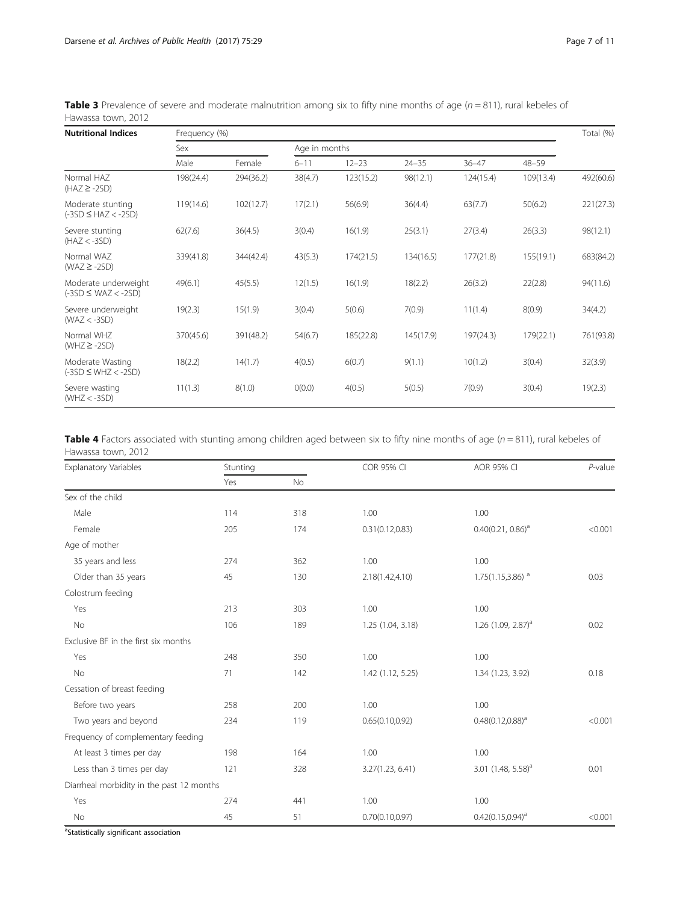| <b>Nutritional Indices</b>                      | Frequency (%) |           |          |               |           |           |           | Total (%) |
|-------------------------------------------------|---------------|-----------|----------|---------------|-----------|-----------|-----------|-----------|
|                                                 | Sex           |           |          | Age in months |           |           |           |           |
|                                                 | Male          | Female    | $6 - 11$ | $12 - 23$     | $24 - 35$ | $36 - 47$ | $48 - 59$ |           |
| Normal HAZ<br>$(HAZ \ge -2SD)$                  | 198(24.4)     | 294(36.2) | 38(4.7)  | 123(15.2)     | 98(12.1)  | 124(15.4) | 109(13.4) | 492(60.6) |
| Moderate stunting<br>$(-3SD \leq HAZ < -2SD)$   | 119(14.6)     | 102(12.7) | 17(2.1)  | 56(6.9)       | 36(4.4)   | 63(7.7)   | 50(6.2)   | 221(27.3) |
| Severe stunting<br>$(HAZ < -3SD)$               | 62(7.6)       | 36(4.5)   | 3(0.4)   | 16(1.9)       | 25(3.1)   | 27(3.4)   | 26(3.3)   | 98(12.1)  |
| Normal WAZ<br>(WAZ $\geq$ -2SD)                 | 339(41.8)     | 344(42.4) | 43(5.3)  | 174(21.5)     | 134(16.5) | 177(21.8) | 155(19.1) | 683(84.2) |
| Moderate underweight<br>$(-3SD \le WAZ < -2SD)$ | 49(6.1)       | 45(5.5)   | 12(1.5)  | 16(1.9)       | 18(2.2)   | 26(3.2)   | 22(2.8)   | 94(11.6)  |
| Severe underweight<br>$(WAZ < -3SD)$            | 19(2.3)       | 15(1.9)   | 3(0.4)   | 5(0.6)        | 7(0.9)    | 11(1.4)   | 8(0.9)    | 34(4.2)   |
| Normal WHZ<br>(WHZ $\geq$ -2SD)                 | 370(45.6)     | 391(48.2) | 54(6.7)  | 185(22.8)     | 145(17.9) | 197(24.3) | 179(22.1) | 761(93.8) |
| Moderate Wasting<br>$(-3SD \le WHZ < -2SD)$     | 18(2.2)       | 14(1.7)   | 4(0.5)   | 6(0.7)        | 9(1.1)    | 10(1.2)   | 3(0.4)    | 32(3.9)   |
| Severe wasting<br>$(WHZ < -3SD)$                | 11(1.3)       | 8(1.0)    | O(0.0)   | 4(0.5)        | 5(0.5)    | 7(0.9)    | 3(0.4)    | 19(2.3)   |

<span id="page-6-0"></span>**Table 3** Prevalence of severe and moderate malnutrition among six to fifty nine months of age ( $n = 811$ ), rural kebeles of Hawassa town, 2012

Table 4 Factors associated with stunting among children aged between six to fifty nine months of age ( $n = 811$ ), rural kebeles of Hawassa town, 2012

| <b>Explanatory Variables</b>              | Stunting |     | <b>COR 95% CI</b> | <b>AOR 95% CI</b>                | $P$ -value |
|-------------------------------------------|----------|-----|-------------------|----------------------------------|------------|
|                                           | Yes      | No  |                   |                                  |            |
| Sex of the child                          |          |     |                   |                                  |            |
| Male                                      | 114      | 318 | 1.00              | 1.00                             |            |
| Female                                    | 205      | 174 | 0.31(0.12, 0.83)  | $0.40(0.21, 0.86)^a$             | < 0.001    |
| Age of mother                             |          |     |                   |                                  |            |
| 35 years and less                         | 274      | 362 | 1.00              | 1.00                             |            |
| Older than 35 years                       | 45       | 130 | 2.18(1.42,4.10)   | $1.75(1.15, 3.86)$ <sup>a</sup>  | 0.03       |
| Colostrum feeding                         |          |     |                   |                                  |            |
| Yes                                       | 213      | 303 | 1.00              | 1.00                             |            |
| No                                        | 106      | 189 | 1.25 (1.04, 3.18) | $1.26$ (1.09, 2.87) <sup>a</sup> | 0.02       |
| Exclusive BF in the first six months      |          |     |                   |                                  |            |
| Yes                                       | 248      | 350 | 1.00              | 1.00                             |            |
| No                                        | 71       | 142 | 1.42 (1.12, 5.25) | 1.34 (1.23, 3.92)                | 0.18       |
| Cessation of breast feeding               |          |     |                   |                                  |            |
| Before two years                          | 258      | 200 | 1.00              | 1.00                             |            |
| Two years and beyond                      | 234      | 119 | 0.65(0.10, 0.92)  | $0.48(0.12, 0.88)^a$             | < 0.001    |
| Frequency of complementary feeding        |          |     |                   |                                  |            |
| At least 3 times per day                  | 198      | 164 | 1.00              | 1.00                             |            |
| Less than 3 times per day                 | 121      | 328 | 3.27(1.23, 6.41)  | 3.01 (1.48, 5.58) <sup>a</sup>   | 0.01       |
| Diarrheal morbidity in the past 12 months |          |     |                   |                                  |            |
| Yes                                       | 274      | 441 | 1.00              | 1.00                             |            |
| No                                        | 45       | 51  | 0.70(0.10, 0.97)  | $0.42(0.15, 0.94)^a$             | < 0.001    |

<sup>a</sup>Statistically significant association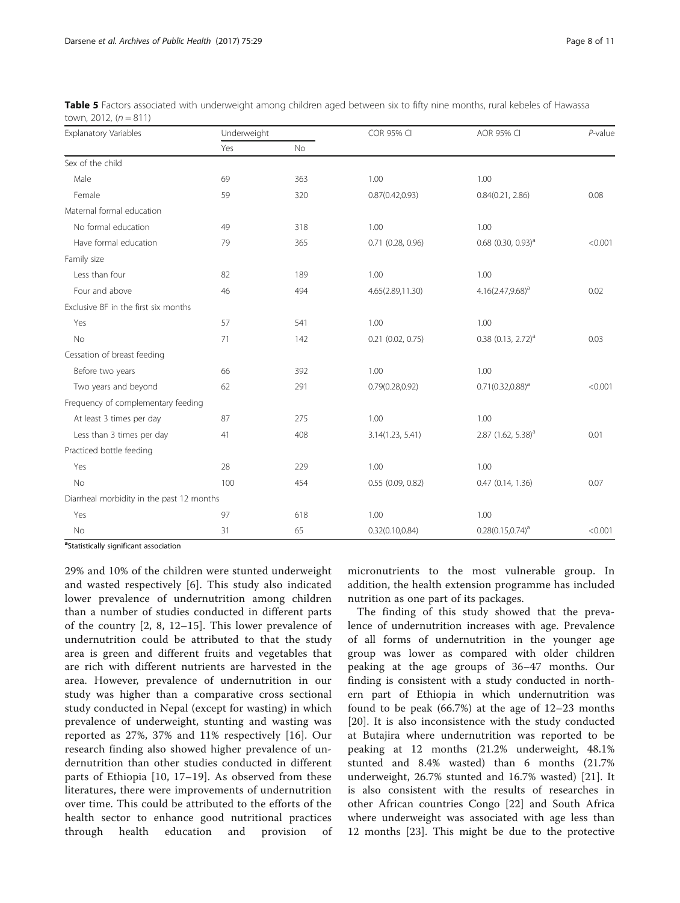| <b>Explanatory Variables</b>              | Underweight |     | <b>COR 95% CI</b>     | <b>AOR 95% CI</b>                | $P$ -value |
|-------------------------------------------|-------------|-----|-----------------------|----------------------------------|------------|
|                                           | Yes         | No  |                       |                                  |            |
| Sex of the child                          |             |     |                       |                                  |            |
| Male                                      | 69          | 363 | 1.00                  | 1.00                             |            |
| Female                                    | 59          | 320 | 0.87(0.42, 0.93)      | 0.84(0.21, 2.86)                 | 0.08       |
| Maternal formal education                 |             |     |                       |                                  |            |
| No formal education                       | 49          | 318 | 1.00                  | 1.00                             |            |
| Have formal education                     | 79          | 365 | $0.71$ $(0.28, 0.96)$ | $0.68$ (0.30, 0.93) <sup>a</sup> | < 0.001    |
| Family size                               |             |     |                       |                                  |            |
| Less than four                            | 82          | 189 | 1.00                  | 1.00                             |            |
| Four and above                            | 46          | 494 | 4.65(2.89,11.30)      | $4.16(2.47,9.68)^a$              | 0.02       |
| Exclusive BF in the first six months      |             |     |                       |                                  |            |
| Yes                                       | 57          | 541 | 1.00                  | 1.00                             |            |
| <b>No</b>                                 | 71          | 142 | $0.21$ $(0.02, 0.75)$ | $0.38$ (0.13, 2.72) <sup>a</sup> | 0.03       |
| Cessation of breast feeding               |             |     |                       |                                  |            |
| Before two years                          | 66          | 392 | 1.00                  | 1.00                             |            |
| Two years and beyond                      | 62          | 291 | 0.79(0.28, 0.92)      | $0.71(0.32,0.88)^{a}$            | < 0.001    |
| Frequency of complementary feeding        |             |     |                       |                                  |            |
| At least 3 times per day                  | 87          | 275 | 1.00                  | 1.00                             |            |
| Less than 3 times per day                 | 41          | 408 | 3.14(1.23, 5.41)      | $2.87$ (1.62, 5.38) <sup>a</sup> | 0.01       |
| Practiced bottle feeding                  |             |     |                       |                                  |            |
| Yes                                       | 28          | 229 | 1.00                  | 1.00                             |            |
| <b>No</b>                                 | 100         | 454 | 0.55 (0.09, 0.82)     | 0.47(0.14, 1.36)                 | 0.07       |
| Diarrheal morbidity in the past 12 months |             |     |                       |                                  |            |
| Yes                                       | 97          | 618 | 1.00                  | 1.00                             |            |
| No                                        | 31          | 65  | 0.32(0.10, 0.84)      | $0.28(0.15, 0.74)^{a}$           | < 0.001    |

<span id="page-7-0"></span>

| Table 5 Factors associated with underweight among children aged between six to fifty nine months, rural kebeles of Hawassa |  |  |  |  |
|----------------------------------------------------------------------------------------------------------------------------|--|--|--|--|
| town, 2012, $(n = 811)$                                                                                                    |  |  |  |  |

<sup>a</sup>Statistically significant association

29% and 10% of the children were stunted underweight and wasted respectively [\[6\]](#page-10-0). This study also indicated lower prevalence of undernutrition among children than a number of studies conducted in different parts of the country [[2, 8](#page-10-0), [12](#page-10-0)–[15](#page-10-0)]. This lower prevalence of undernutrition could be attributed to that the study area is green and different fruits and vegetables that are rich with different nutrients are harvested in the area. However, prevalence of undernutrition in our study was higher than a comparative cross sectional study conducted in Nepal (except for wasting) in which prevalence of underweight, stunting and wasting was reported as 27%, 37% and 11% respectively [\[16\]](#page-10-0). Our research finding also showed higher prevalence of undernutrition than other studies conducted in different parts of Ethiopia [[10](#page-10-0), [17](#page-10-0)–[19\]](#page-10-0). As observed from these literatures, there were improvements of undernutrition over time. This could be attributed to the efforts of the health sector to enhance good nutritional practices through health education and provision of

micronutrients to the most vulnerable group. In addition, the health extension programme has included nutrition as one part of its packages.

The finding of this study showed that the prevalence of undernutrition increases with age. Prevalence of all forms of undernutrition in the younger age group was lower as compared with older children peaking at the age groups of 36–47 months. Our finding is consistent with a study conducted in northern part of Ethiopia in which undernutrition was found to be peak (66.7%) at the age of 12–23 months [[20](#page-10-0)]. It is also inconsistence with the study conducted at Butajira where undernutrition was reported to be peaking at 12 months (21.2% underweight, 48.1% stunted and 8.4% wasted) than 6 months (21.7% underweight, 26.7% stunted and 16.7% wasted) [[21\]](#page-10-0). It is also consistent with the results of researches in other African countries Congo [[22\]](#page-10-0) and South Africa where underweight was associated with age less than 12 months [[23](#page-10-0)]. This might be due to the protective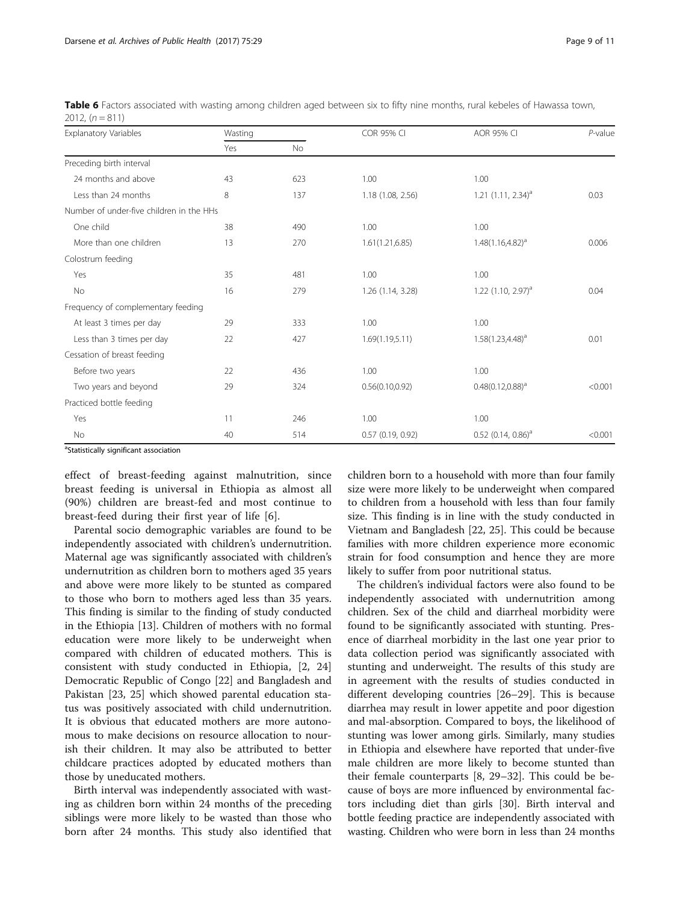| <b>Explanatory Variables</b>             | Wasting |     | <b>COR 95% CI</b>   | <b>AOR 95% CI</b>                | $P$ -value |
|------------------------------------------|---------|-----|---------------------|----------------------------------|------------|
|                                          | Yes     | No  |                     |                                  |            |
| Preceding birth interval                 |         |     |                     |                                  |            |
| 24 months and above                      | 43      | 623 | 1.00                | 1.00                             |            |
| Less than 24 months                      | 8       | 137 | 1.18 (1.08, 2.56)   | 1.21 $(1.11, 2.34)^a$            | 0.03       |
| Number of under-five children in the HHs |         |     |                     |                                  |            |
| One child                                | 38      | 490 | 1.00                | 1.00                             |            |
| More than one children                   | 13      | 270 | 1.61(1.21, 6.85)    | $1.48(1.16, 4.82)^{a}$           | 0.006      |
| Colostrum feeding                        |         |     |                     |                                  |            |
| Yes                                      | 35      | 481 | 1.00                | 1.00                             |            |
| <b>No</b>                                | 16      | 279 | 1.26 (1.14, 3.28)   | 1.22 $(1.10, 2.97)^{a}$          | 0.04       |
| Frequency of complementary feeding       |         |     |                     |                                  |            |
| At least 3 times per day                 | 29      | 333 | 1.00                | 1.00                             |            |
| Less than 3 times per day                | 22      | 427 | 1.69(1.19,5.11)     | $1.58(1.23,4.48)^a$              | 0.01       |
| Cessation of breast feeding              |         |     |                     |                                  |            |
| Before two years                         | 22      | 436 | 1.00                | 1.00                             |            |
| Two years and beyond                     | 29      | 324 | 0.56(0.10, 0.92)    | $0.48(0.12,0.88)^{a}$            | < 0.001    |
| Practiced bottle feeding                 |         |     |                     |                                  |            |
| Yes                                      | 11      | 246 | 1.00                | 1.00                             |            |
| No                                       | 40      | 514 | $0.57$ (0.19, 0.92) | $0.52$ (0.14, 0.86) <sup>a</sup> | < 0.001    |

<span id="page-8-0"></span>Table 6 Factors associated with wasting among children aged between six to fifty nine months, rural kebeles of Hawassa town, 2012,  $(n = 811)$ 

<sup>a</sup>Statistically significant association

effect of breast-feeding against malnutrition, since breast feeding is universal in Ethiopia as almost all (90%) children are breast-fed and most continue to breast-feed during their first year of life [[6\]](#page-10-0).

Parental socio demographic variables are found to be independently associated with children's undernutrition. Maternal age was significantly associated with children's undernutrition as children born to mothers aged 35 years and above were more likely to be stunted as compared to those who born to mothers aged less than 35 years. This finding is similar to the finding of study conducted in the Ethiopia [[13\]](#page-10-0). Children of mothers with no formal education were more likely to be underweight when compared with children of educated mothers. This is consistent with study conducted in Ethiopia, [\[2](#page-10-0), [24](#page-10-0)] Democratic Republic of Congo [\[22](#page-10-0)] and Bangladesh and Pakistan [\[23, 25\]](#page-10-0) which showed parental education status was positively associated with child undernutrition. It is obvious that educated mothers are more autonomous to make decisions on resource allocation to nourish their children. It may also be attributed to better childcare practices adopted by educated mothers than those by uneducated mothers.

Birth interval was independently associated with wasting as children born within 24 months of the preceding siblings were more likely to be wasted than those who born after 24 months. This study also identified that

children born to a household with more than four family size were more likely to be underweight when compared to children from a household with less than four family size. This finding is in line with the study conducted in Vietnam and Bangladesh [\[22](#page-10-0), [25](#page-10-0)]. This could be because families with more children experience more economic strain for food consumption and hence they are more likely to suffer from poor nutritional status.

The children's individual factors were also found to be independently associated with undernutrition among children. Sex of the child and diarrheal morbidity were found to be significantly associated with stunting. Presence of diarrheal morbidity in the last one year prior to data collection period was significantly associated with stunting and underweight. The results of this study are in agreement with the results of studies conducted in different developing countries [[26](#page-10-0)–[29](#page-10-0)]. This is because diarrhea may result in lower appetite and poor digestion and mal-absorption. Compared to boys, the likelihood of stunting was lower among girls. Similarly, many studies in Ethiopia and elsewhere have reported that under-five male children are more likely to become stunted than their female counterparts [[8, 29](#page-10-0)–[32](#page-10-0)]. This could be because of boys are more influenced by environmental factors including diet than girls [\[30](#page-10-0)]. Birth interval and bottle feeding practice are independently associated with wasting. Children who were born in less than 24 months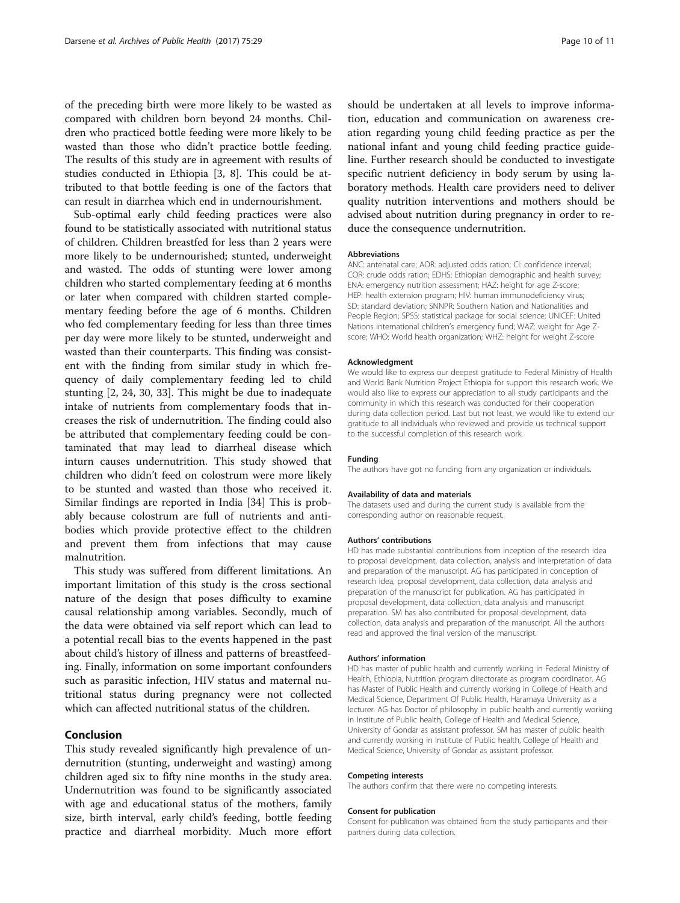of the preceding birth were more likely to be wasted as compared with children born beyond 24 months. Children who practiced bottle feeding were more likely to be wasted than those who didn't practice bottle feeding. The results of this study are in agreement with results of studies conducted in Ethiopia [\[3](#page-10-0), [8](#page-10-0)]. This could be attributed to that bottle feeding is one of the factors that can result in diarrhea which end in undernourishment.

Sub-optimal early child feeding practices were also found to be statistically associated with nutritional status of children. Children breastfed for less than 2 years were more likely to be undernourished; stunted, underweight and wasted. The odds of stunting were lower among children who started complementary feeding at 6 months or later when compared with children started complementary feeding before the age of 6 months. Children who fed complementary feeding for less than three times per day were more likely to be stunted, underweight and wasted than their counterparts. This finding was consistent with the finding from similar study in which frequency of daily complementary feeding led to child stunting [[2](#page-10-0), [24, 30, 33\]](#page-10-0). This might be due to inadequate intake of nutrients from complementary foods that increases the risk of undernutrition. The finding could also be attributed that complementary feeding could be contaminated that may lead to diarrheal disease which inturn causes undernutrition. This study showed that children who didn't feed on colostrum were more likely to be stunted and wasted than those who received it. Similar findings are reported in India [\[34](#page-10-0)] This is probably because colostrum are full of nutrients and antibodies which provide protective effect to the children and prevent them from infections that may cause malnutrition.

This study was suffered from different limitations. An important limitation of this study is the cross sectional nature of the design that poses difficulty to examine causal relationship among variables. Secondly, much of the data were obtained via self report which can lead to a potential recall bias to the events happened in the past about child's history of illness and patterns of breastfeeding. Finally, information on some important confounders such as parasitic infection, HIV status and maternal nutritional status during pregnancy were not collected which can affected nutritional status of the children.

# Conclusion

This study revealed significantly high prevalence of undernutrition (stunting, underweight and wasting) among children aged six to fifty nine months in the study area. Undernutrition was found to be significantly associated with age and educational status of the mothers, family size, birth interval, early child's feeding, bottle feeding practice and diarrheal morbidity. Much more effort should be undertaken at all levels to improve information, education and communication on awareness creation regarding young child feeding practice as per the national infant and young child feeding practice guideline. Further research should be conducted to investigate specific nutrient deficiency in body serum by using laboratory methods. Health care providers need to deliver quality nutrition interventions and mothers should be advised about nutrition during pregnancy in order to reduce the consequence undernutrition.

#### Abbreviations

ANC: antenatal care; AOR: adjusted odds ration; CI: confidence interval; COR: crude odds ration; EDHS: Ethiopian demographic and health survey; ENA: emergency nutrition assessment; HAZ: height for age Z-score; HEP: health extension program; HIV: human immunodeficiency virus; SD: standard deviation; SNNPR: Southern Nation and Nationalities and People Region; SPSS: statistical package for social science; UNICEF: United Nations international children's emergency fund; WAZ: weight for Age Zscore; WHO: World health organization; WHZ: height for weight Z-score

#### Acknowledgment

We would like to express our deepest gratitude to Federal Ministry of Health and World Bank Nutrition Project Ethiopia for support this research work. We would also like to express our appreciation to all study participants and the community in which this research was conducted for their cooperation during data collection period. Last but not least, we would like to extend our gratitude to all individuals who reviewed and provide us technical support to the successful completion of this research work.

#### Funding

The authors have got no funding from any organization or individuals.

#### Availability of data and materials

The datasets used and during the current study is available from the corresponding author on reasonable request.

#### Authors' contributions

HD has made substantial contributions from inception of the research idea to proposal development, data collection, analysis and interpretation of data and preparation of the manuscript. AG has participated in conception of research idea, proposal development, data collection, data analysis and preparation of the manuscript for publication. AG has participated in proposal development, data collection, data analysis and manuscript preparation. SM has also contributed for proposal development, data collection, data analysis and preparation of the manuscript. All the authors read and approved the final version of the manuscript.

#### Authors' information

HD has master of public health and currently working in Federal Ministry of Health, Ethiopia, Nutrition program directorate as program coordinator. AG has Master of Public Health and currently working in College of Health and Medical Science, Department Of Public Health, Haramaya University as a lecturer. AG has Doctor of philosophy in public health and currently working in Institute of Public health, College of Health and Medical Science, University of Gondar as assistant professor. SM has master of public health and currently working in Institute of Public health, College of Health and Medical Science, University of Gondar as assistant professor.

#### Competing interests

The authors confirm that there were no competing interests.

#### Consent for publication

Consent for publication was obtained from the study participants and their partners during data collection.